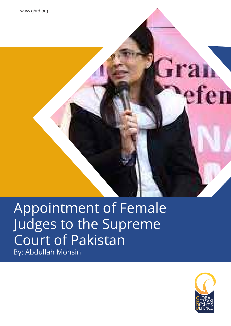www.ghrd.org

## Appointment of Female Judges to the Supreme Court of Pakistan By: Abdullah Mohsin



efe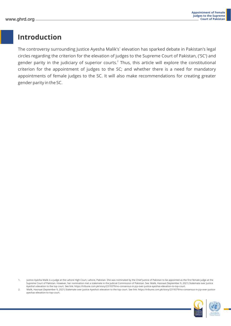#### **Introduction**

The controversy surrounding Justice Ayesha Malik's $^{\rm 1}$  elevation has sparked debate in Pakistan's legal circles regarding the criterion for the elevation of judges to the Supreme Court of Pakistan, ('SC') and gender parity in the judiciary of superior courts. $^2$  Thus, this article will explore the constitutional criterion for the appointment of judges to the SC; and whether there is a need for mandatory appointments of female judges to the SC. It will also make recommendations for creating greater gender parity in the SC.

 <sup>2.</sup> Malik, Hasnaat (September 9, 2021) Stalemate over Justice Ayesha's elevation to the top court. See link: https://tribune.com.pk/story/2319379/no-consensus-in-jcp-over-justiceayeshas-elevation-to-top-court.



 <sup>1.</sup> Justice Ayesha Malik is a judge at the Lahore High Court, Lahore, Pakistan. She was nominated by the Chief Justice of Pakistan to be appointed as the first female judge at the Supreme Court of Pakistan. However, her nomination met a stalemate in the Judicial Commission of Pakistan. See: Malik, Hasnaat (September 9, 2021) Stalemate over Justice Ayesha's elevation to the top court. See link: https://tribune.com.pk/story/2319379/no-consensus-in-jcp-over-justice-ayeshas-elevation-to-top-court.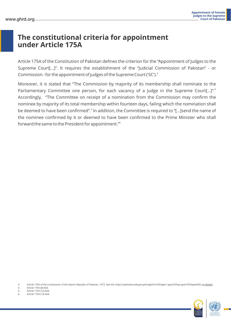#### **The constitutional criteria for appointment under Article 175A**

Article 175A of the Constitution of Pakistan defines the criterion for the "Appointment of Judges to the Supreme Court[…]". It requires the establishment of the "Judicial Commission of Pakistan" - or Commission - for the appointment of judges of the Supreme Court ('SC').<sup>3</sup>

Moreover, it is stated that "The Commission by majority of its membership shall nominate to the 4 Parliamentary Committee one person, for each vacancy of a Judge in the Supreme Court[…]". Accordingly, "The Committee on receipt of a nomination from the Commission may confirm the nominee by majority of its total membership within fourteen days, failing which the nomination shall be deemed to have been confirmed".<sup>5</sup> In addition, the Committee is required to "[...]send the name of the nominee confirmed by it or deemed to have been confirmed to the Prime Minister who shall 6 forward the same to the President for appointment."

3. Article 175A of the Constitution of the Islamic Republic of Pakistan, 1973. See link: https://pakistancode.gov.pk/english/UY2FqaJw1-apaUY2Fqa-apaUY2Fvbpw%3D-sg-jjjjjjjjjjjjj

4. Article 175A (8) Ibid.<br>5. Article 175A (12) Ibid. 5. Article 175A (12) Ibid.

6. Article 175A (13) Ibid.

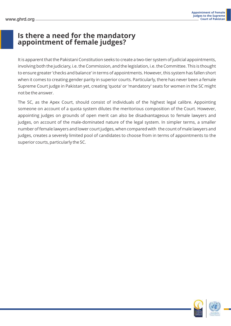#### **Is there a need for the mandatory appointment of female judges?**

It is apparent that the Pakistani Constitution seeks to create a two-tier system of judicial appointments, involving both the judiciary, i.e. the Commission, and the legislation, i.e. the Committee. This is thought to ensure greater 'checks and balance' in terms of appointments. However, this system has fallen short when it comes to creating gender parity in superior courts. Particularly, there has never been a female Supreme Court judge in Pakistan yet, creating 'quota' or 'mandatory' seats for women in the SC might not be the answer.

The SC, as the Apex Court, should consist of individuals of the highest legal calibre. Appointing someone on account of a quota system dilutes the meritorious composition of the Court. However, appointing judges on grounds of open merit can also be disadvantageous to female lawyers and judges, on account of the male-dominated nature of the legal system. In simpler terms, a smaller number of female lawyers and lower court judges, when compared with the count of male lawyers and judges, creates a severely limited pool of candidates to choose from in terms of appointments to the superior courts, particularly the SC.



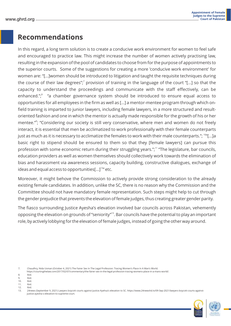#### **Recommendations**

In this regard, a long term solution is to create a conducive work environment for women to feel safe and encouraged to practice law. This might increase the number of women actively practising law, resulting in the expansion of the pool of candidates to choose from for the purpose of appointments to the superior courts. Some of the suggestions for creating a more 'conducive work environment' for women are: "[…]women should be introduced to litigation and taught the requisite techniques during the course of their law degrees"; $^7$  provision of training in the language of the court "[...] so that the capacity to understand the proceedings and communicate with the staff effectively, can be enhanced.";<sup>8</sup> "a chamber governance system should be introduced to ensure equal access to opportunities for all employees in the firm as well as […] a mentor-mentee program through which onfield training is imparted to junior lawyers, including female lawyers, in a more structured and resultoriented fashion and one in which the mentor is actually made responsible for the growth of his or her mentee."<sup>9</sup>; "Considering our society is still very conservative, where men and women do not freely interact, it is essential that men be acclimatized to work professionally with their female counterparts just as much as it is necessary to acclimatize the females to work with their male counterparts.";  $^{10}$ "[...]a basic right to stipend should be ensured to them so that they [female lawyers] can pursue this profession with some economic return during their struggling years.";<sup>11</sup> "The legislature, bar councils, education providers as well as women themselves should collectively work towards the elimination of bias and harassment via awareness sessions, capacity building, constructive dialogues, exchange of ideas and equal access to opportunities[...] $12n$  etc.

Moreover, it might behove the Commission to actively provide strong consideration to the already existing female candidates. In addition, unlike the SC, there is no reason why the Commission and the Committee should not have mandatory female representation. Such steps might help to cut through the gender prejudice that prevents the elevation of female judges, thus creating greater gender parity.

The fiasco surrounding Justice Ayesha's elevation involved bar councils across Pakistan, vehemently opposing the elevation on grounds of "seniority"<sup>13</sup>. Bar councils have the potential to play an important role, by actively lobbying for the elevation of female judges, instead of going the other way around.

12. Ibid.

<sup>13. 24</sup>news (September 9, 2021) Lawyers boycott courts against Justice Ayehsa's elevation to SC. https://www.24newshd.tv/09-Sep-2021/lawyers-boycott-courts-againstjustice-ayesha-s-elevation-to-supreme-court.



<sup>7.</sup> Chaudhry, Nida Usman (October 4, 2021) The Fairer Sex In The Legal Profession: Tracing Women's Place In A Man's World.

https://courtingthelaw.com/2017/02/07/commentary/the-fairer-sex-in-the-legal-profession-tracing-womens-place-in-a-mans-world/.

<sup>8.</sup> Ibid.

<sup>9.</sup> Ibid. 10. Ibid.

<sup>11.</sup> Ibid.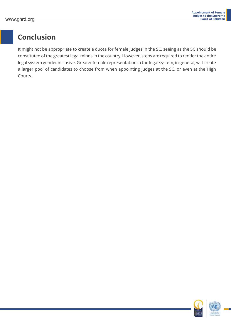### **Conclusion**

It might not be appropriate to create a quota for female judges in the SC, seeing as the SC should be constituted of the greatest legal minds in the country. However, steps are required to render the entire legal system gender inclusive. Greater female representation in the legal system, in general, will create a larger pool of candidates to choose from when appointing judges at the SC, or even at the High Courts.



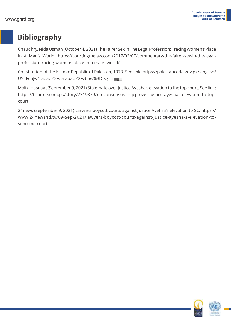### **Bibliography**

Chaudhry, Nida Usman (October 4, 2021) The Fairer Sex In The Legal Profession: Tracing Women's Place In A Man's World. https://courtingthelaw.com/2017/02/07/commentary/the-fairer-sex-in-the-legalprofession-tracing-womens-place-in-a-mans-world/.

Constitution of the Islamic Republic of Pakistan, 1973. See link: https://pakistancode.gov.pk/ english/ UY2FqaJw1-apaUY2Fqa-apaUY2Fvbpw%3D-sg-jjjjjjjjjjjjj.

Malik, Hasnaat (September 9, 2021) Stalemate over Justice Ayesha's elevation to the top court. See link: https://tribune.com.pk/story/2319379/no-consensus-in-jcp-over-justice-ayeshas-elevation-to-topcourt.

24news (September 9, 2021) Lawyers boycott courts against Justice Ayehsa's elevation to SC. https:// www.24newshd.tv/09-Sep-2021/lawyers-boycott-courts-against-justice-ayesha-s-elevation-tosupreme-court.